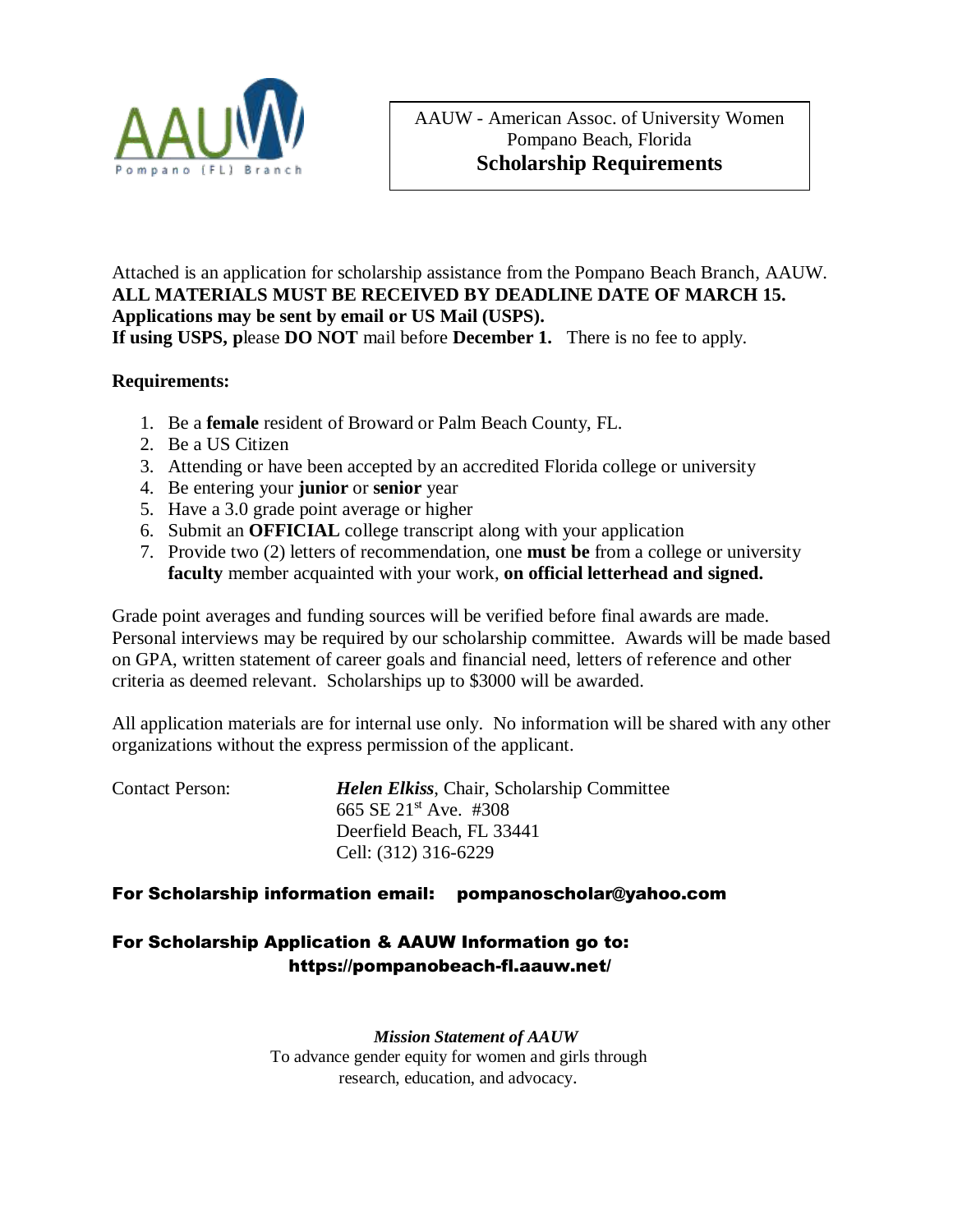

Attached is an application for scholarship assistance from the Pompano Beach Branch, AAUW. **ALL MATERIALS MUST BE RECEIVED BY DEADLINE DATE OF MARCH 15. Applications may be sent by email or US Mail (USPS). If using USPS, p**lease **DO NOT** mail before **December 1.** There is no fee to apply.

## **Requirements:**

- 1. Be a **female** resident of Broward or Palm Beach County, FL.
- 2. Be a US Citizen
- 3. Attending or have been accepted by an accredited Florida college or university
- 4. Be entering your **junior** or **senior** year
- 5. Have a 3.0 grade point average or higher
- 6. Submit an **OFFICIAL** college transcript along with your application
- 7. Provide two (2) letters of recommendation, one **must be** from a college or university **faculty** member acquainted with your work, **on official letterhead and signed.**

Grade point averages and funding sources will be verified before final awards are made. Personal interviews may be required by our scholarship committee. Awards will be made based on GPA, written statement of career goals and financial need, letters of reference and other criteria as deemed relevant. Scholarships up to \$3000 will be awarded.

All application materials are for internal use only. No information will be shared with any other organizations without the express permission of the applicant.

| <b>Contact Person:</b> | <b>Helen Elkiss, Chair, Scholarship Committee</b> |
|------------------------|---------------------------------------------------|
|                        | 665 SE $21^{st}$ Ave. #308                        |
|                        | Deerfield Beach, FL 33441                         |
|                        | Cell: (312) 316-6229                              |

## For Scholarship information email: [pompanoscholar@yahoo.com](mailto:pompanoscholar@yahoo.com)

## For Scholarship Application & AAUW Information go to: <https://pompanobeach-fl.aauw.net/>

*Mission Statement of AAUW* To advance gender equity for women and girls through research, education, and advocacy.